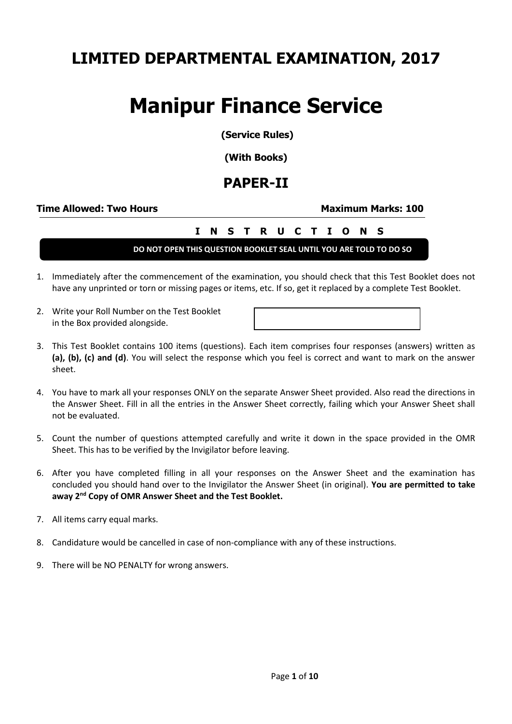# **LIMITED DEPARTMENTAL EXAMINATION, 2017**

# **Manipur Finance Service**

**(Service Rules)**

**(With Books)**

## **PAPER-II**

#### **Time Allowed: Two Hours Maximum Marks: 100**

### **I N S T R U C T I O N S**

**DO NOT OPEN THIS QUESTION BOOKLET SEAL UNTIL YOU ARE TOLD TO DO SO**

- 1. Immediately after the commencement of the examination, you should check that this Test Booklet does not have any unprinted or torn or missing pages or items, etc. If so, get it replaced by a complete Test Booklet.
- 2. Write your Roll Number on the Test Booklet in the Box provided alongside.

- 3. This Test Booklet contains 100 items (questions). Each item comprises four responses (answers) written as **(a), (b), (c) and (d)**. You will select the response which you feel is correct and want to mark on the answer sheet.
- 4. You have to mark all your responses ONLY on the separate Answer Sheet provided. Also read the directions in the Answer Sheet. Fill in all the entries in the Answer Sheet correctly, failing which your Answer Sheet shall not be evaluated.
- 5. Count the number of questions attempted carefully and write it down in the space provided in the OMR Sheet. This has to be verified by the Invigilator before leaving.
- 6. After you have completed filling in all your responses on the Answer Sheet and the examination has concluded you should hand over to the Invigilator the Answer Sheet (in original). **You are permitted to take away 2nd Copy of OMR Answer Sheet and the Test Booklet.**
- 7. All items carry equal marks.
- 8. Candidature would be cancelled in case of non-compliance with any of these instructions.
- 9. There will be NO PENALTY for wrong answers.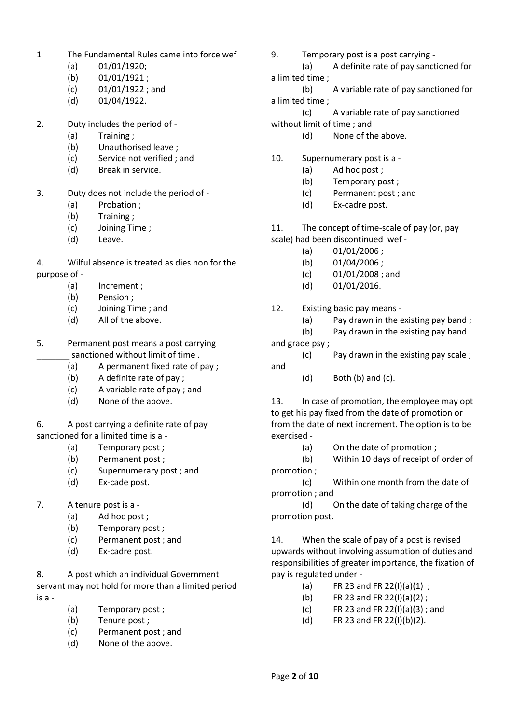- 1 The Fundamental Rules came into force wef
	- (a) 01/01/1920;
	- (b)  $01/01/1921$ :
	- (c) 01/01/1922 ; and
	- (d) 01/04/1922.

2. Duty includes the period of -

- (a) Training ;
- (b) Unauthorised leave ;
- (c) Service not verified ; and
- (d) Break in service.
- 3. Duty does not include the period of
	- (a) Probation ;
	- (b) Training ;
	- (c) Joining Time ;
	- (d) Leave.
- 4. Wilful absence is treated as dies non for the purpose of -
	- (a) Increment ;
	- (b) Pension ;
	- (c) Joining Time ; and
	- (d) All of the above.
- 5. Permanent post means a post carrying sanctioned without limit of time.
	- (a) A permanent fixed rate of pay ;
	- (b) A definite rate of pay ;
	- (c) A variable rate of pay ; and
	- (d) None of the above.

6. A post carrying a definite rate of pay sanctioned for a limited time is a -

- (a) Temporary post ;
- (b) Permanent post ;
- (c) Supernumerary post ; and
- (d) Ex-cade post.
- 7. A tenure post is a
	- (a) Ad hoc post ;
	- (b) Temporary post ;
	- (c) Permanent post ; and
	- (d) Ex-cadre post.

8. A post which an individual Government servant may not hold for more than a limited period is a -

- (a) Temporary post ;
- (b) Tenure post ;
- (c) Permanent post ; and
- (d) None of the above.

9. Temporary post is a post carrying -

(a) A definite rate of pay sanctioned for a limited time ;

(b) A variable rate of pay sanctioned for a limited time ;

(c) A variable rate of pay sanctioned without limit of time ; and

(d) None of the above.

10. Supernumerary post is a -

- (a) Ad hoc post ;
- (b) Temporary post ;
- (c) Permanent post ; and
- (d) Ex-cadre post.

11. The concept of time-scale of pay (or, pay scale) had been discontinued wef -

- (a) 01/01/2006 ;
- (b) 01/04/2006 ;
- (c) 01/01/2008 ; and
- (d) 01/01/2016.

12. Existing basic pay means -

- (a) Pay drawn in the existing pay band ;
- (b) Pay drawn in the existing pay band

and grade psy ;

- (c) Pay drawn in the existing pay scale ; and
	- $(d)$  Both  $(b)$  and  $(c)$ .

13. In case of promotion, the employee may opt to get his pay fixed from the date of promotion or from the date of next increment. The option is to be exercised -

(a) On the date of promotion ;

(b) Within 10 days of receipt of order of promotion ;

(c) Within one month from the date of promotion ; and

(d) On the date of taking charge of the promotion post.

14. When the scale of pay of a post is revised upwards without involving assumption of duties and responsibilities of greater importance, the fixation of pay is regulated under -

- (a) FR 23 and FR 22(I)(a)(1) ;
- (b) FR 23 and FR 22(I)(a)(2) ;
- (c) FR 23 and FR 22(I)(a)(3) ; and
- (d) FR 23 and FR 22(I)(b)(2).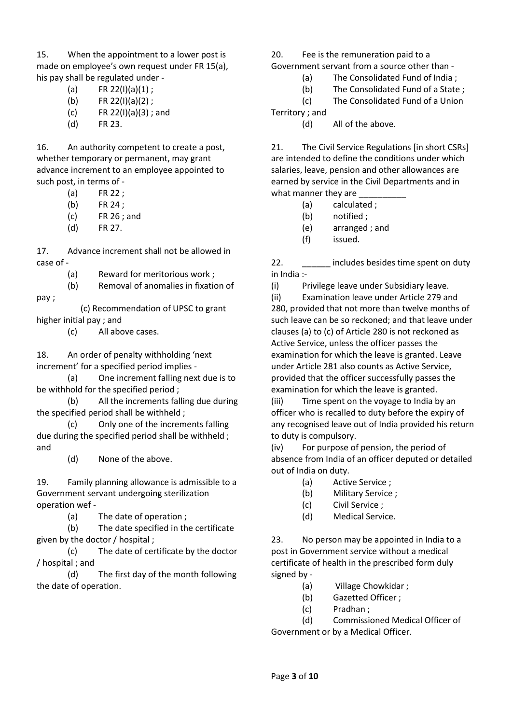15. When the appointment to a lower post is made on employee's own request under FR 15(a), his pay shall be regulated under -

- (a)  $FR \ 22(1)(a)(1)$ ;
- (b)  $FR \, 22(1)(a)(2)$ ;
- (c) FR 22(I)(a)(3); and
- (d) FR 23.

16. An authority competent to create a post, whether temporary or permanent, may grant advance increment to an employee appointed to such post, in terms of -

- (a) FR 22 ;
- (b) FR 24 ;
- (c) FR 26 ; and
- (d) FR 27.

17. Advance increment shall not be allowed in case of -

(a) Reward for meritorious work ;

(b) Removal of anomalies in fixation of pay ;

 (c) Recommendation of UPSC to grant higher initial pay ; and

(c) All above cases.

18. An order of penalty withholding 'next increment' for a specified period implies -

(a) One increment falling next due is to be withhold for the specified period ;

(b) All the increments falling due during the specified period shall be withheld ;

(c) Only one of the increments falling due during the specified period shall be withheld ; and

(d) None of the above.

19. Family planning allowance is admissible to a Government servant undergoing sterilization operation wef -

(a) The date of operation ;

(b) The date specified in the certificate given by the doctor / hospital ;

(c) The date of certificate by the doctor / hospital ; and

(d) The first day of the month following the date of operation.

20. Fee is the remuneration paid to a

Government servant from a source other than -

- (a) The Consolidated Fund of India ;
- (b) The Consolidated Fund of a State ;

(c) The Consolidated Fund of a Union

Territory ; and

(d) All of the above.

21. The Civil Service Regulations [in short CSRs] are intended to define the conditions under which salaries, leave, pension and other allowances are earned by service in the Civil Departments and in what manner they are

- (a) calculated ;
- (b) notified ;
- (e) arranged ; and
- (f) issued.

22. **Example 22.** Includes besides time spent on duty in India :-

(i) Privilege leave under Subsidiary leave.

(ii) Examination leave under Article 279 and 280, provided that not more than twelve months of such leave can be so reckoned; and that leave under clauses (a) to (c) of Article 280 is not reckoned as Active Service, unless the officer passes the examination for which the leave is granted. Leave under Article 281 also counts as Active Service, provided that the officer successfully passes the examination for which the leave is granted.

(iii) Time spent on the voyage to India by an officer who is recalled to duty before the expiry of any recognised leave out of India provided his return to duty is compulsory.

(iv) For purpose of pension, the period of absence from India of an officer deputed or detailed out of India on duty.

- (a) Active Service ;
- (b) Military Service ;
- (c) Civil Service ;
- (d) Medical Service.

23. No person may be appointed in India to a post in Government service without a medical certificate of health in the prescribed form duly signed by -

- (a) Village Chowkidar ;
- (b) Gazetted Officer ;
- (c) Pradhan ;

(d) Commissioned Medical Officer of Government or by a Medical Officer.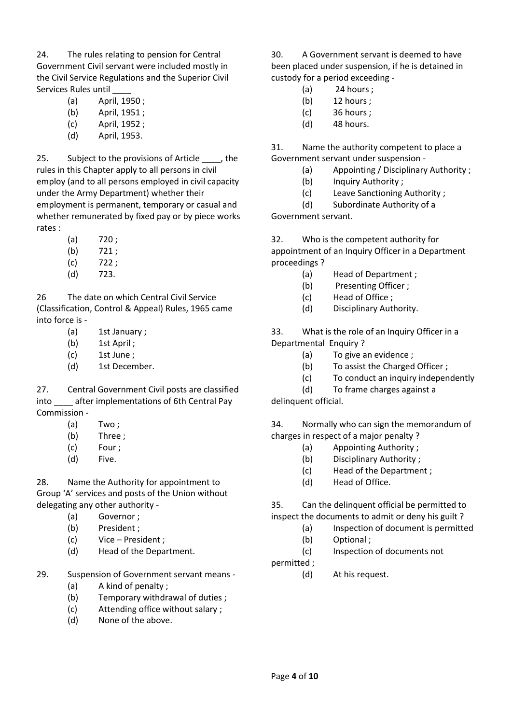24. The rules relating to pension for Central Government Civil servant were included mostly in the Civil Service Regulations and the Superior Civil Services Rules until

- (a) April, 1950 ;
- (b) April, 1951 ;
- (c) April, 1952 ;
- (d) April, 1953.

25. Subject to the provisions of Article \_\_\_\_, the rules in this Chapter apply to all persons in civil employ (and to all persons employed in civil capacity under the Army Department) whether their employment is permanent, temporary or casual and whether remunerated by fixed pay or by piece works rates :

- (a) 720 ;
- (b) 721 ;
- (c) 722 ;
- (d) 723.

26 The date on which Central Civil Service (Classification, Control & Appeal) Rules, 1965 came into force is -

- (a) 1st January ;
- (b) 1st April ;
- (c) 1st June ;
- (d) 1st December.

27. Central Government Civil posts are classified into after implementations of 6th Central Pay Commission -

- (a) Two ;
- (b) Three ;
- (c) Four ;
- (d) Five.

28. Name the Authority for appointment to Group 'A' services and posts of the Union without delegating any other authority -

- (a) Governor ;
- (b) President ;
- (c) Vice President ;
- (d) Head of the Department.
- 29. Suspension of Government servant means
	- (a) A kind of penalty ;
	- (b) Temporary withdrawal of duties ;
	- (c) Attending office without salary ;
	- (d) None of the above.

30. A Government servant is deemed to have been placed under suspension, if he is detained in custody for a period exceeding -

- (a) 24 hours ;
- (b) 12 hours ;
- (c) 36 hours ;
- (d) 48 hours.

31. Name the authority competent to place a Government servant under suspension -

- (a) Appointing / Disciplinary Authority ;
- (b) Inquiry Authority ;
- (c) Leave Sanctioning Authority ;
- (d) Subordinate Authority of a

Government servant.

32. Who is the competent authority for appointment of an Inquiry Officer in a Department proceedings ?

- (a) Head of Department ;
- (b) Presenting Officer ;
- (c) Head of Office ;
- (d) Disciplinary Authority.

33. What is the role of an Inquiry Officer in a Departmental Enquiry ?

- (a) To give an evidence ;
- (b) To assist the Charged Officer ;
- (c) To conduct an inquiry independently

(d) To frame charges against a

delinquent official.

34. Normally who can sign the memorandum of charges in respect of a major penalty ?

- (a) Appointing Authority ;
- (b) Disciplinary Authority ;
- (c) Head of the Department ;
- (d) Head of Office.

35. Can the delinquent official be permitted to inspect the documents to admit or deny his guilt ?

- (a) Inspection of document is permitted
- (b) Optional ;
	- (c) Inspection of documents not

permitted ;

(d) At his request.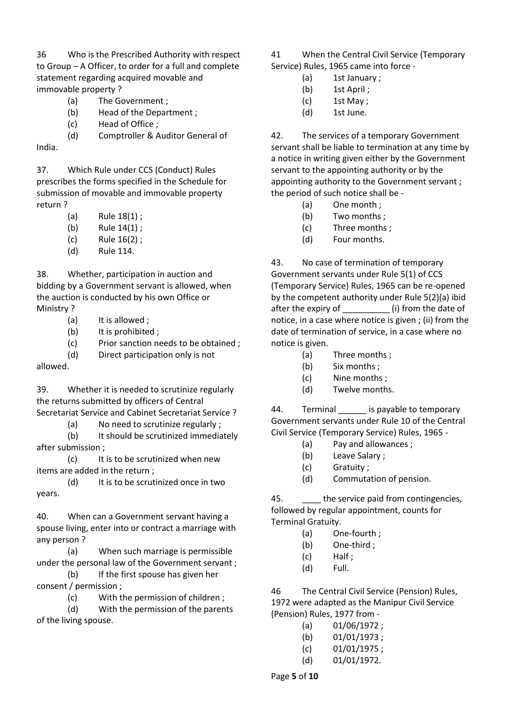36 Who is the Prescribed Authority with respect to Group – A Officer, to order for a full and complete statement regarding acquired movable and immovable property ?

- (a) The Government ;
- (b) Head of the Department ;
- (c) Head of Office ;

(d) Comptroller & Auditor General of

India.

37. Which Rule under CCS (Conduct) Rules prescribes the forms specified in the Schedule for submission of movable and immovable property return ?

- (a) Rule 18(1) ;
- (b) Rule 14(1) ;
- (c) Rule 16(2) ;
- (d) Rule 114.

38. Whether, participation in auction and bidding by a Government servant is allowed, when the auction is conducted by his own Office or Ministry ?

- (a) It is allowed ;
- (b) It is prohibited ;
- (c) Prior sanction needs to be obtained ;
- (d) Direct participation only is not

allowed.

39. Whether it is needed to scrutinize regularly the returns submitted by officers of Central Secretariat Service and Cabinet Secretariat Service ?

(a) No need to scrutinize regularly ;

(b) It should be scrutinized immediately after submission ;

(c) It is to be scrutinized when new items are added in the return ;

(d) It is to be scrutinized once in two years.

40. When can a Government servant having a spouse living, enter into or contract a marriage with any person ?

(a) When such marriage is permissible under the personal law of the Government servant ;

(b) If the first spouse has given her consent / permission ;

(c) With the permission of children ;

(d) With the permission of the parents of the living spouse.

41 When the Central Civil Service (Temporary Service) Rules, 1965 came into force -

- (a) 1st January ;
- (b) 1st April ;
- (c) 1st May ;
- (d) 1st June.

42. The services of a temporary Government servant shall be liable to termination at any time by a notice in writing given either by the Government servant to the appointing authority or by the appointing authority to the Government servant ; the period of such notice shall be -

- (a) One month ;
- (b) Two months ;
- (c) Three months ;
- (d) Four months.

43. No case of termination of temporary Government servants under Rule 5(1) of CCS (Temporary Service) Rules, 1965 can be re-opened by the competent authority under Rule 5(2)(a) ibid after the expiry of  $\qquad \qquad$  (i) from the date of notice, in a case where notice is given ; (ii) from the date of termination of service, in a case where no notice is given.

- (a) Three months ;
- (b) Six months ;
- (c) Nine months ;
- (d) Twelve months.

44. Terminal is payable to temporary Government servants under Rule 10 of the Central Civil Service (Temporary Service) Rules, 1965 -

- (a) Pay and allowances ;
- (b) Leave Salary ;
- (c) Gratuity ;
- (d) Commutation of pension.

45. **the service paid from contingencies,** followed by regular appointment, counts for Terminal Gratuity.

- (a) One-fourth ;
- (b) One-third ;
- (c) Half ;
- (d) Full.

46 The Central Civil Service (Pension) Rules, 1972 were adapted as the Manipur Civil Service (Pension) Rules, 1977 from -

- (a) 01/06/1972 ;
- (b)  $01/01/1973$ :
- (c) 01/01/1975 ;
- (d) 01/01/1972.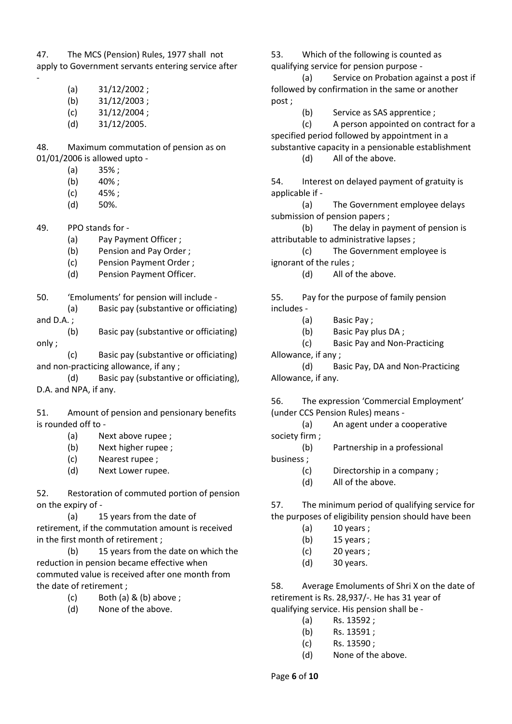47. The MCS (Pension) Rules, 1977 shall not apply to Government servants entering service after

 $(a)$  31/12/2002 ;

-

- (b) 31/12/2003 ;
- $(c)$  31/12/2004 ;
- (d) 31/12/2005.

48. Maximum commutation of pension as on 01/01/2006 is allowed upto -

- $(a)$  35%;
- $(b)$  40%;
- (c) 45% ;
- (d) 50%.
- 49. PPO stands for
	- (a) Pay Payment Officer ;
	- (b) Pension and Pay Order ;
	- (c) Pension Payment Order ;
	- (d) Pension Payment Officer.

50. 'Emoluments' for pension will include -

(a) Basic pay (substantive or officiating) and D.A. ;

(b) Basic pay (substantive or officiating) only ;

(c) Basic pay (substantive or officiating) and non-practicing allowance, if any ;

(d) Basic pay (substantive or officiating), D.A. and NPA, if any.

51. Amount of pension and pensionary benefits is rounded off to -

- (a) Next above rupee ;
- (b) Next higher rupee ;
- (c) Nearest rupee ;
- (d) Next Lower rupee.

52. Restoration of commuted portion of pension on the expiry of -

(a) 15 years from the date of retirement, if the commutation amount is received in the first month of retirement ;

(b) 15 years from the date on which the reduction in pension became effective when commuted value is received after one month from the date of retirement ;

- (c) Both (a) & (b) above ;
- (d) None of the above.

53. Which of the following is counted as qualifying service for pension purpose -

(a) Service on Probation against a post if followed by confirmation in the same or another post ;

(b) Service as SAS apprentice ;

(c) A person appointed on contract for a specified period followed by appointment in a substantive capacity in a pensionable establishment

(d) All of the above.

54. Interest on delayed payment of gratuity is applicable if -

(a) The Government employee delays submission of pension papers ;

(b) The delay in payment of pension is attributable to administrative lapses ;

(c) The Government employee is ignorant of the rules ;

(d) All of the above.

55. Pay for the purpose of family pension includes -

- (a) Basic Pay ;
- (b) Basic Pay plus DA ;
- (c) Basic Pay and Non-Practicing

Allowance, if any ;

(d) Basic Pay, DA and Non-Practicing Allowance, if any.

56. The expression 'Commercial Employment' (under CCS Pension Rules) means -

(a) An agent under a cooperative society firm ;

(b) Partnership in a professional

business ;

- (c) Directorship in a company ;
- (d) All of the above.

57. The minimum period of qualifying service for the purposes of eligibility pension should have been

- $(a)$  10 years ;
- (b) 15 years ;
- (d) 30 years.

58. Average Emoluments of Shri X on the date of retirement is Rs. 28,937/-. He has 31 year of qualifying service. His pension shall be -

- (a) Rs. 13592 ;
- (b) Rs. 13591 ;
- (c) Rs. 13590 ;
- (d) None of the above.

(c) 20 years ;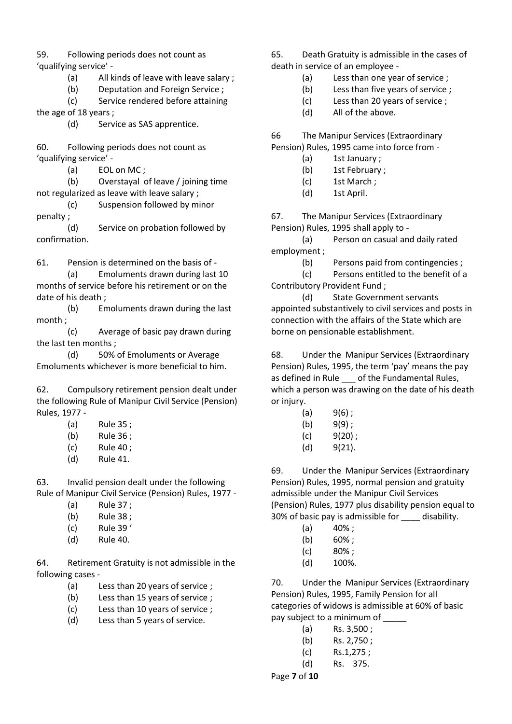59. Following periods does not count as 'qualifying service' -

(a) All kinds of leave with leave salary ;

(b) Deputation and Foreign Service ;

(c) Service rendered before attaining the age of 18 years ;

(d) Service as SAS apprentice.

60. Following periods does not count as 'qualifying service' -

(a) EOL on MC ;

(b) Overstayal of leave / joining time not regularized as leave with leave salary ;

(c) Suspension followed by minor penalty ;

(d) Service on probation followed by confirmation.

61. Pension is determined on the basis of -

(a) Emoluments drawn during last 10 months of service before his retirement or on the date of his death ;

(b) Emoluments drawn during the last month ;

(c) Average of basic pay drawn during the last ten months ;

(d) 50% of Emoluments or Average Emoluments whichever is more beneficial to him.

62. Compulsory retirement pension dealt under the following Rule of Manipur Civil Service (Pension) Rules, 1977 -

- (a) Rule 35 ;
- (b) Rule 36 ;
- (c) Rule 40 ;
- (d) Rule 41.

63. Invalid pension dealt under the following Rule of Manipur Civil Service (Pension) Rules, 1977 -

- (a) Rule 37 ;
- (b) Rule 38 ;
- (c) Rule 39 '
- (d) Rule 40.

64. Retirement Gratuity is not admissible in the following cases -

- (a) Less than 20 years of service ;
- (b) Less than 15 years of service ;
- (c) Less than 10 years of service ;
- (d) Less than 5 years of service.

65. Death Gratuity is admissible in the cases of death in service of an employee -

- (a) Less than one year of service ;
- (b) Less than five years of service ;
- (c) Less than 20 years of service ;
- (d) All of the above.

66 The Manipur Services (Extraordinary Pension) Rules, 1995 came into force from -

- (a) 1st January ;
- (b) 1st February ;
- (c) 1st March ;
- (d) 1st April.

67. The Manipur Services (Extraordinary Pension) Rules, 1995 shall apply to -

(a) Person on casual and daily rated employment ;

(b) Persons paid from contingencies ;

(c) Persons entitled to the benefit of a Contributory Provident Fund ;

(d) State Government servants appointed substantively to civil services and posts in connection with the affairs of the State which are borne on pensionable establishment.

68. Under the Manipur Services (Extraordinary Pension) Rules, 1995, the term 'pay' means the pay as defined in Rule \_\_\_ of the Fundamental Rules, which a person was drawing on the date of his death or injury.

- $(a)$  9(6);
- $(b)$  9(9);
- $(c)$  9(20);
- $(d)$  9(21).

69. Under the Manipur Services (Extraordinary Pension) Rules, 1995, normal pension and gratuity admissible under the Manipur Civil Services (Pension) Rules, 1977 plus disability pension equal to 30% of basic pay is admissible for \_\_\_\_ disability.

- $(a)$  40%;
- (b) 60% ;
- (c) 80% ;
- (d) 100%.

70. Under the Manipur Services (Extraordinary Pension) Rules, 1995, Family Pension for all categories of widows is admissible at 60% of basic pay subject to a minimum of

- (a) Rs. 3,500 ;
- (b) Rs. 2,750 ;
- (c) Rs.1,275 ;
- (d) Rs. 375.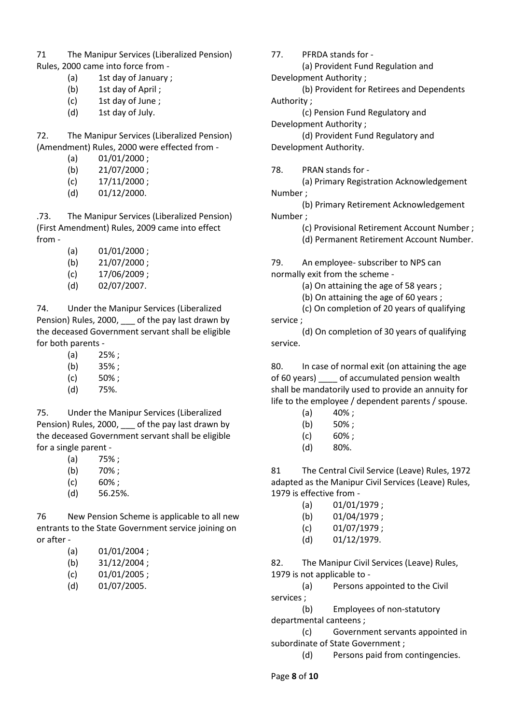71 The Manipur Services (Liberalized Pension) Rules, 2000 came into force from -

- (a) 1st day of January ;
- (b) 1st day of April ;
- (c) 1st day of June ;
- (d) 1st day of July.

72. The Manipur Services (Liberalized Pension) (Amendment) Rules, 2000 were effected from -

- $(a)$  01/01/2000;
- (b) 21/07/2000 ;
- $(c)$  17/11/2000;
- (d) 01/12/2000.

.73. The Manipur Services (Liberalized Pension) (First Amendment) Rules, 2009 came into effect from -

- $(a)$  01/01/2000 ; (b) 21/07/2000 ;
- (c) 17/06/2009 ;
- (d) 02/07/2007.

74. Under the Manipur Services (Liberalized Pension) Rules, 2000, \_\_\_ of the pay last drawn by the deceased Government servant shall be eligible for both parents -

- $(a)$  25% : (b) 35% ;
- $(c)$  50% ;
- (d) 75%.

75. Under the Manipur Services (Liberalized Pension) Rules, 2000, \_\_\_ of the pay last drawn by the deceased Government servant shall be eligible for a single parent -

- (a) 75% ;
- (b) 70% ;
- (c) 60% ;
- (d) 56.25%.

76 New Pension Scheme is applicable to all new entrants to the State Government service joining on or after -

- $(a)$  01/01/2004 ;
- $(b)$  31/12/2004;
- $(c)$  01/01/2005;
- (d) 01/07/2005.

77. PFRDA stands for -

(a) Provident Fund Regulation and Development Authority ;

(b) Provident for Retirees and Dependents Authority ;

(c) Pension Fund Regulatory and

Development Authority ;

(d) Provident Fund Regulatory and Development Authority.

78. PRAN stands for -

(a) Primary Registration Acknowledgement Number ;

(b) Primary Retirement Acknowledgement Number ;

(c) Provisional Retirement Account Number ;

(d) Permanent Retirement Account Number.

79. An employee- subscriber to NPS can normally exit from the scheme -

(a) On attaining the age of 58 years ;

(b) On attaining the age of 60 years ;

(c) On completion of 20 years of qualifying service ;

(d) On completion of 30 years of qualifying service.

80. In case of normal exit (on attaining the age of 60 years) \_\_\_\_ of accumulated pension wealth shall be mandatorily used to provide an annuity for life to the employee / dependent parents / spouse.

- $(a)$  40%;
- (b) 50% ;
- (c) 60% ;
- (d) 80%.

81 The Central Civil Service (Leave) Rules, 1972 adapted as the Manipur Civil Services (Leave) Rules, 1979 is effective from -

- (a) 01/01/1979 ;
- (b) 01/04/1979 ;
- (c) 01/07/1979 ;
- (d) 01/12/1979.

82. The Manipur Civil Services (Leave) Rules, 1979 is not applicable to -

(a) Persons appointed to the Civil services ;

(b) Employees of non-statutory departmental canteens ;

(c) Government servants appointed in subordinate of State Government ;

(d) Persons paid from contingencies.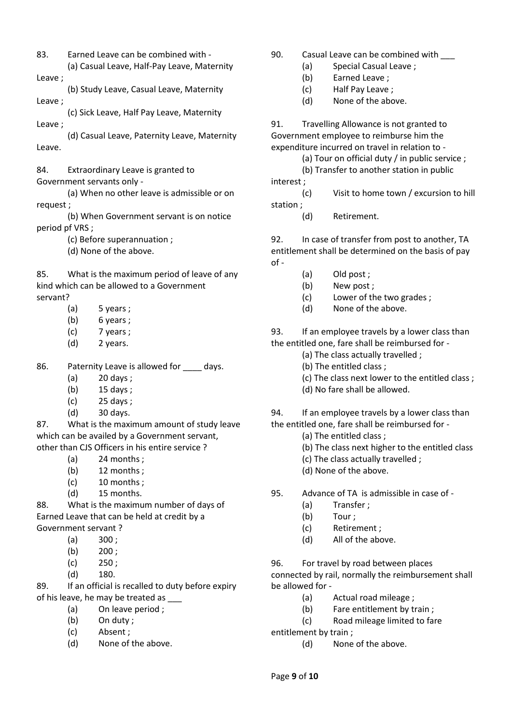- 83. Earned Leave can be combined with -
- (a) Casual Leave, Half-Pay Leave, Maternity Leave ;
- (b) Study Leave, Casual Leave, Maternity Leave ;
- (c) Sick Leave, Half Pay Leave, Maternity Leave ;
- (d) Casual Leave, Paternity Leave, Maternity Leave.
- 84. Extraordinary Leave is granted to Government servants only -
- (a) When no other leave is admissible or on request ;
- (b) When Government servant is on notice period pf VRS ;
	- (c) Before superannuation ;
	- (d) None of the above.

85. What is the maximum period of leave of any kind which can be allowed to a Government servant?

- (a) 5 years ;
- (b) 6 years ;
- (c) 7 years ;
- (d) 2 years.
- 86. Paternity Leave is allowed for days.
	- (a) 20 days ;
	- (b) 15 days ;
	- (c) 25 days ;
	- (d) 30 days.

87. What is the maximum amount of study leave which can be availed by a Government servant, other than CJS Officers in his entire service ?

- (a) 24 months ;
- (b) 12 months ;
- (c) 10 months ;
- (d) 15 months.

88. What is the maximum number of days of Earned Leave that can be held at credit by a Government servant ?

- $(a) 300;$
- $(b)$  200;
- (c) 250 ;
- (d) 180.

89. If an official is recalled to duty before expiry of his leave, he may be treated as

- (a) On leave period ;
- (b) On duty ;
- (c) Absent ;
- (d) None of the above.
- 90. Casual Leave can be combined with
	- (a) Special Casual Leave ;
	- (b) Earned Leave ;
	- (c) Half Pay Leave ;
	- (d) None of the above.

91. Travelling Allowance is not granted to Government employee to reimburse him the expenditure incurred on travel in relation to -

(a) Tour on official duty / in public service ;

(b) Transfer to another station in public interest ;

(c) Visit to home town / excursion to hill station ;

(d) Retirement.

92. In case of transfer from post to another, TA entitlement shall be determined on the basis of pay of -

- (a) Old post ;
- (b) New post ;
- (c) Lower of the two grades ;
- (d) None of the above.

93. If an employee travels by a lower class than the entitled one, fare shall be reimbursed for -

- (a) The class actually travelled ;
- (b) The entitled class ;
- (c) The class next lower to the entitled class ;
- (d) No fare shall be allowed.

94. If an employee travels by a lower class than the entitled one, fare shall be reimbursed for -

- (a) The entitled class ;
- (b) The class next higher to the entitled class
- (c) The class actually travelled ;
- (d) None of the above.
- 95. Advance of TA is admissible in case of
	- (a) Transfer ;
	- (b) Tour ;
	- (c) Retirement ;
	- (d) All of the above.

96. For travel by road between places connected by rail, normally the reimbursement shall be allowed for -

- (a) Actual road mileage ;
- (b) Fare entitlement by train ;
- (c) Road mileage limited to fare
- entitlement by train ;
	- (d) None of the above.